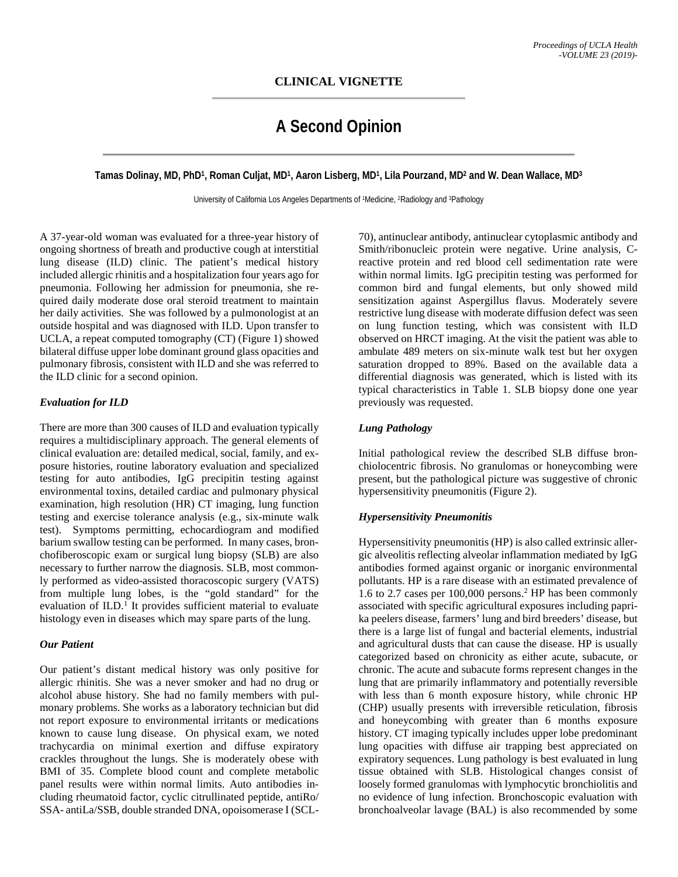# **A Second Opinion**

**Tamas Dolinay, MD, PhD1, Roman Culjat, MD1, Aaron Lisberg, MD1, Lila Pourzand, MD2 and W. Dean Wallace, MD3**

University of California Los Angeles Departments of <sup>1</sup>Medicine, <sup>2</sup>Radiology and <sup>3</sup>Pathology

A 37-year-old woman was evaluated for a three-year history of ongoing shortness of breath and productive cough at interstitial lung disease (ILD) clinic. The patient's medical history included allergic rhinitis and a hospitalization four years ago for pneumonia. Following her admission for pneumonia, she required daily moderate dose oral steroid treatment to maintain her daily activities. She was followed by a pulmonologist at an outside hospital and was diagnosed with ILD. Upon transfer to UCLA, a repeat computed tomography (CT) (Figure 1) showed bilateral diffuse upper lobe dominant ground glass opacities and pulmonary fibrosis, consistent with ILD and she was referred to the ILD clinic for a second opinion.

## *Evaluation for ILD*

There are more than 300 causes of ILD and evaluation typically requires a multidisciplinary approach. The general elements of clinical evaluation are: detailed medical, social, family, and exposure histories, routine laboratory evaluation and specialized testing for auto antibodies, IgG precipitin testing against environmental toxins, detailed cardiac and pulmonary physical examination, high resolution (HR) CT imaging, lung function testing and exercise tolerance analysis (e.g., six-minute walk test). Symptoms permitting, echocardiogram and modified barium swallow testing can be performed. In many cases, bronchofiberoscopic exam or surgical lung biopsy (SLB) are also necessary to further narrow the diagnosis. SLB, most commonly performed as video-assisted thoracoscopic surgery (VATS) from multiple lung lobes, is the "gold standard" for the evaluation of ILD. <sup>1</sup> It provides sufficient material to evaluate histology even in diseases which may spare parts of the lung.

#### *Our Patient*

Our patient's distant medical history was only positive for allergic rhinitis. She was a never smoker and had no drug or alcohol abuse history. She had no family members with pulmonary problems. She works as a laboratory technician but did not report exposure to environmental irritants or medications known to cause lung disease. On physical exam, we noted trachycardia on minimal exertion and diffuse expiratory crackles throughout the lungs. She is moderately obese with BMI of 35. Complete blood count and complete metabolic panel results were within normal limits. Auto antibodies including rheumatoid factor, cyclic citrullinated peptide, antiRo/ SSA- antiLa/SSB, double stranded DNA, opoisomerase I (SCL-

70), antinuclear antibody, antinuclear cytoplasmic antibody and Smith/ribonucleic protein were negative. Urine analysis, Creactive protein and red blood cell sedimentation rate were within normal limits. IgG precipitin testing was performed for common bird and fungal elements, but only showed mild sensitization against Aspergillus flavus. Moderately severe restrictive lung disease with moderate diffusion defect was seen on lung function testing, which was consistent with ILD observed on HRCT imaging. At the visit the patient was able to ambulate 489 meters on six-minute walk test but her oxygen saturation dropped to 89%. Based on the available data a differential diagnosis was generated, which is listed with its typical characteristics in Table 1. SLB biopsy done one year previously was requested.

## *Lung Pathology*

Initial pathological review the described SLB diffuse bronchiolocentric fibrosis. No granulomas or honeycombing were present, but the pathological picture was suggestive of chronic hypersensitivity pneumonitis (Figure 2).

## *Hypersensitivity Pneumonitis*

Hypersensitivity pneumonitis (HP) is also called extrinsic allergic alveolitis reflecting alveolar inflammation mediated by IgG antibodies formed against organic or inorganic environmental pollutants. HP is a rare disease with an estimated prevalence of 1.6 to 2.7 cases per  $100,000$  persons.<sup>2</sup> HP has been commonly associated with specific agricultural exposures including paprika peelers disease, farmers' lung and bird breeders' disease, but there is a large list of fungal and bacterial elements, industrial and agricultural dusts that can cause the disease. HP is usually categorized based on chronicity as either acute, subacute, or chronic. The acute and subacute forms represent changes in the lung that are primarily inflammatory and potentially reversible with less than 6 month exposure history, while chronic HP (CHP) usually presents with irreversible reticulation, fibrosis and honeycombing with greater than 6 months exposure history. CT imaging typically includes upper lobe predominant lung opacities with diffuse air trapping best appreciated on expiratory sequences. Lung pathology is best evaluated in lung tissue obtained with SLB. Histological changes consist of loosely formed granulomas with lymphocytic bronchiolitis and no evidence of lung infection. Bronchoscopic evaluation with bronchoalveolar lavage (BAL) is also recommended by some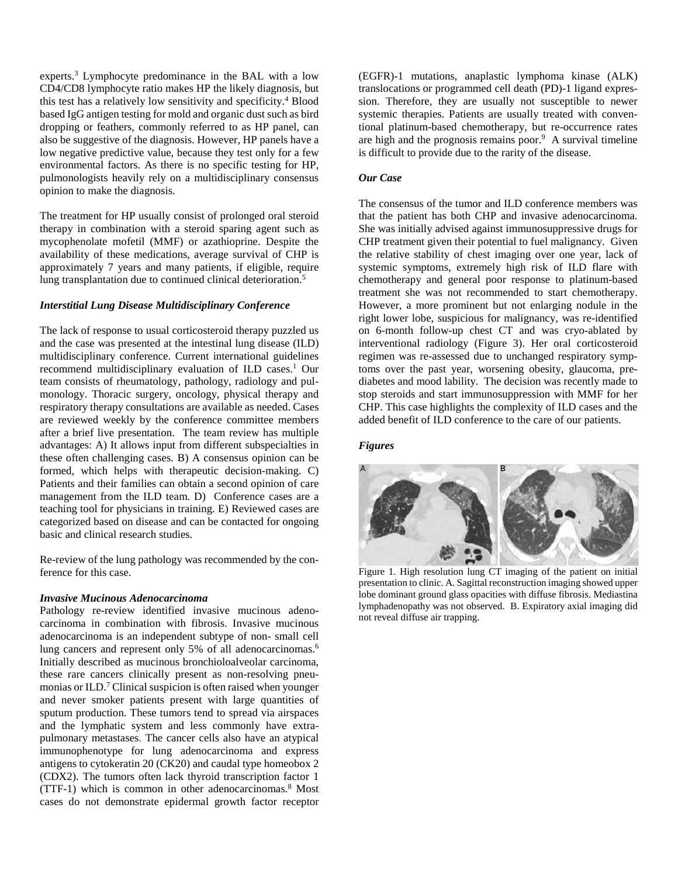experts.3 Lymphocyte predominance in the BAL with a low CD4/CD8 lymphocyte ratio makes HP the likely diagnosis, but this test has a relatively low sensitivity and specificity.4 Blood based IgG antigen testing for mold and organic dust such as bird dropping or feathers, commonly referred to as HP panel, can also be suggestive of the diagnosis. However, HP panels have a low negative predictive value, because they test only for a few environmental factors. As there is no specific testing for HP, pulmonologists heavily rely on a multidisciplinary consensus opinion to make the diagnosis.

The treatment for HP usually consist of prolonged oral steroid therapy in combination with a steroid sparing agent such as mycophenolate mofetil (MMF) or azathioprine. Despite the availability of these medications, average survival of CHP is approximately 7 years and many patients, if eligible, require lung transplantation due to continued clinical deterioration.<sup>5</sup>

#### *Interstitial Lung Disease Multidisciplinary Conference*

The lack of response to usual corticosteroid therapy puzzled us and the case was presented at the intestinal lung disease (ILD) multidisciplinary conference. Current international guidelines recommend multidisciplinary evaluation of ILD cases.<sup>1</sup> Our team consists of rheumatology, pathology, radiology and pulmonology. Thoracic surgery, oncology, physical therapy and respiratory therapy consultations are available as needed. Cases are reviewed weekly by the conference committee members after a brief live presentation. The team review has multiple advantages: A) It allows input from different subspecialties in these often challenging cases. B) A consensus opinion can be formed, which helps with therapeutic decision-making. C) Patients and their families can obtain a second opinion of care management from the ILD team. D) Conference cases are a teaching tool for physicians in training. E) Reviewed cases are categorized based on disease and can be contacted for ongoing basic and clinical research studies.

Re-review of the lung pathology was recommended by the conference for this case.

#### *Invasive Mucinous Adenocarcinoma*

Pathology re-review identified invasive mucinous adenocarcinoma in combination with fibrosis. Invasive mucinous adenocarcinoma is an independent subtype of non- small cell lung cancers and represent only 5% of all adenocarcinomas. 6 Initially described as mucinous bronchioloalveolar carcinoma, these rare cancers clinically present as non-resolving pneumonias or ILD.<sup>7</sup> Clinical suspicion is often raised when younger and never smoker patients present with large quantities of sputum production. These tumors tend to spread via airspaces and the lymphatic system and less commonly have extrapulmonary metastases. The cancer cells also have an atypical immunophenotype for lung adenocarcinoma and express antigens to cytokeratin 20 (CK20) and caudal type homeobox 2 (CDX2). The tumors often lack thyroid transcription factor 1 (TTF-1) which is common in other adenocarcinomas. <sup>8</sup> Most cases do not demonstrate epidermal growth factor receptor

(EGFR)-1 mutations, anaplastic lymphoma kinase (ALK) translocations or programmed cell death (PD)-1 ligand expression. Therefore, they are usually not susceptible to newer systemic therapies. Patients are usually treated with conventional platinum-based chemotherapy, but re-occurrence rates are high and the prognosis remains poor. 9 A survival timeline is difficult to provide due to the rarity of the disease.

#### *Our Case*

The consensus of the tumor and ILD conference members was that the patient has both CHP and invasive adenocarcinoma. She was initially advised against immunosuppressive drugs for CHP treatment given their potential to fuel malignancy. Given the relative stability of chest imaging over one year, lack of systemic symptoms, extremely high risk of ILD flare with chemotherapy and general poor response to platinum-based treatment she was not recommended to start chemotherapy. However, a more prominent but not enlarging nodule in the right lower lobe, suspicious for malignancy, was re-identified on 6-month follow-up chest CT and was cryo-ablated by interventional radiology (Figure 3). Her oral corticosteroid regimen was re-assessed due to unchanged respiratory symptoms over the past year, worsening obesity, glaucoma, prediabetes and mood lability. The decision was recently made to stop steroids and start immunosuppression with MMF for her CHP. This case highlights the complexity of ILD cases and the added benefit of ILD conference to the care of our patients.

*Figures*



Figure 1. High resolution lung CT imaging of the patient on initial presentation to clinic. A. Sagittal reconstruction imaging showed upper lobe dominant ground glass opacities with diffuse fibrosis. Mediastina lymphadenopathy was not observed. B. Expiratory axial imaging did not reveal diffuse air trapping.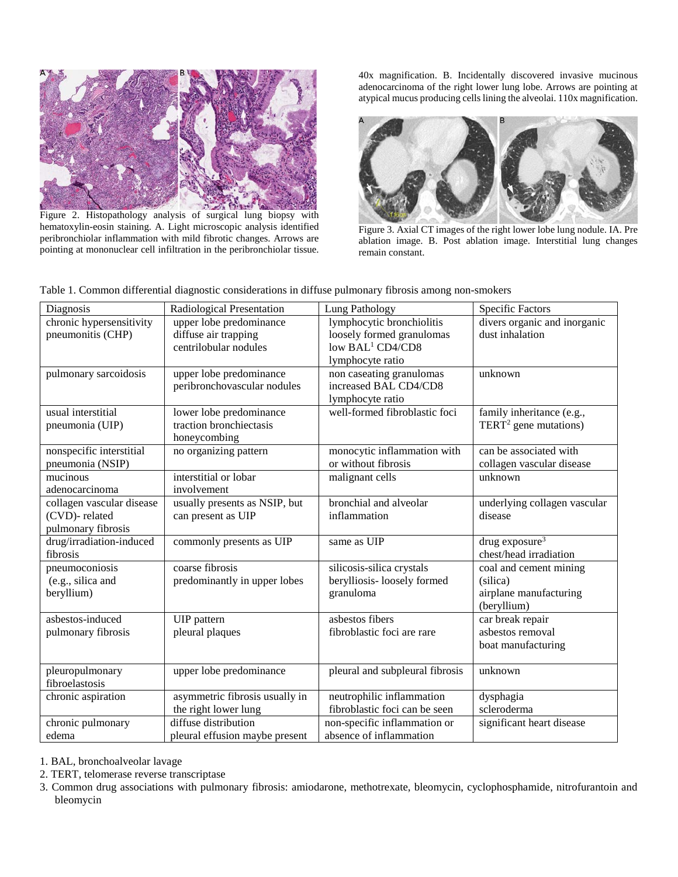

Figure 2. Histopathology analysis of surgical lung biopsy with hematoxylin-eosin staining. A. Light microscopic analysis identified peribronchiolar inflammation with mild fibrotic changes. Arrows are pointing at mononuclear cell infiltration in the peribronchiolar tissue.

40x magnification. B. Incidentally discovered invasive mucinous adenocarcinoma of the right lower lung lobe. Arrows are pointing at atypical mucus producing cells lining the alveolai. 110x magnification.



Figure 3. Axial CT images of the right lower lobe lung nodule. IA. Pre ablation image. B. Post ablation image. Interstitial lung changes remain constant.

| Diagnosis                 | Radiological Presentation      | Lung Pathology                  | <b>Specific Factors</b>           |
|---------------------------|--------------------------------|---------------------------------|-----------------------------------|
| chronic hypersensitivity  | upper lobe predominance        | lymphocytic bronchiolitis       | divers organic and inorganic      |
| pneumonitis (CHP)         | diffuse air trapping           | loosely formed granulomas       | dust inhalation                   |
|                           | centrilobular nodules          | low BAL <sup>1</sup> CD4/CD8    |                                   |
|                           |                                | lymphocyte ratio                |                                   |
| pulmonary sarcoidosis     | upper lobe predominance        | non caseating granulomas        | unknown                           |
|                           | peribronchovascular nodules    | increased BAL CD4/CD8           |                                   |
|                           |                                | lymphocyte ratio                |                                   |
| usual interstitial        | lower lobe predominance        | well-formed fibroblastic foci   | family inheritance (e.g.,         |
| pneumonia (UIP)           | traction bronchiectasis        |                                 | TERT <sup>2</sup> gene mutations) |
|                           | honeycombing                   |                                 |                                   |
| nonspecific interstitial  | no organizing pattern          | monocytic inflammation with     | can be associated with            |
| pneumonia (NSIP)          |                                | or without fibrosis             | collagen vascular disease         |
| mucinous                  | interstitial or lobar          | malignant cells                 | unknown                           |
| adenocarcinoma            | involvement                    |                                 |                                   |
| collagen vascular disease | usually presents as NSIP, but  | bronchial and alveolar          | underlying collagen vascular      |
| (CVD)-related             | can present as UIP             | inflammation                    | disease                           |
| pulmonary fibrosis        |                                |                                 |                                   |
| drug/irradiation-induced  | commonly presents as UIP       | same as UIP                     | drug exposure <sup>3</sup>        |
| fibrosis                  |                                |                                 | chest/head irradiation            |
| pneumoconiosis            | coarse fibrosis                | silicosis-silica crystals       | coal and cement mining            |
| (e.g., silica and         | predominantly in upper lobes   | berylliosis-loosely formed      | (silica)                          |
| beryllium)                |                                | granuloma                       | airplane manufacturing            |
|                           |                                |                                 | (beryllium)                       |
| asbestos-induced          | UIP pattern                    | asbestos fibers                 | car break repair                  |
| pulmonary fibrosis        | pleural plaques                | fibroblastic foci are rare      | asbestos removal                  |
|                           |                                |                                 | boat manufacturing                |
|                           |                                |                                 |                                   |
| pleuropulmonary           | upper lobe predominance        | pleural and subpleural fibrosis | unknown                           |
| fibroelastosis            |                                |                                 |                                   |
| chronic aspiration        | asymmetric fibrosis usually in | neutrophilic inflammation       | dysphagia                         |
|                           | the right lower lung           | fibroblastic foci can be seen   | scleroderma                       |
| chronic pulmonary         | diffuse distribution           | non-specific inflammation or    | significant heart disease         |
| edema                     | pleural effusion maybe present | absence of inflammation         |                                   |

Table 1. Common differential diagnostic considerations in diffuse pulmonary fibrosis among non-smokers

1. BAL, bronchoalveolar lavage

2. TERT, telomerase reverse transcriptase

3. Common drug associations with pulmonary fibrosis: amiodarone, methotrexate, bleomycin, cyclophosphamide, nitrofurantoin and bleomycin